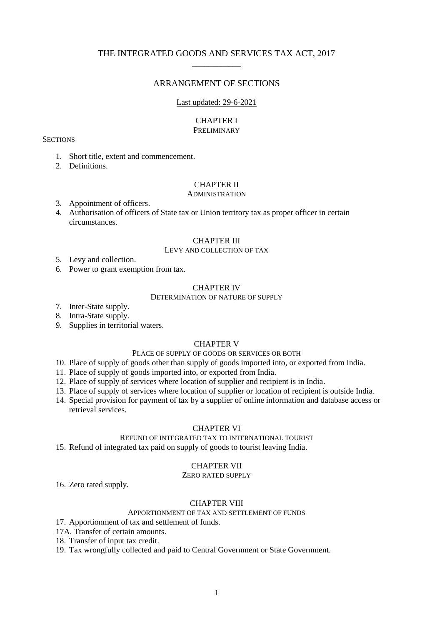# THE INTEGRATED GOODS AND SERVICES TAX ACT, 2017  $\overline{\phantom{a}}$

# ARRANGEMENT OF SECTIONS

### Last updated: 29-6-2021

### CHAPTER I PRELIMINARY

#### **SECTIONS**

- 1. Short title, extent and commencement.
- 2. Definitions.

# CHAPTER II

### ADMINISTRATION

- 3. Appointment of officers.
- 4. Authorisation of officers of State tax or Union territory tax as proper officer in certain circumstances.

# CHAPTER III

# LEVY AND COLLECTION OF TAX

- 5. Levy and collection.
- 6. Power to grant exemption from tax.

# CHAPTER IV

# DETERMINATION OF NATURE OF SUPPLY

- 7. Inter-State supply.
- 8. Intra-State supply.
- 9. Supplies in territorial waters.

### CHAPTER V

### PLACE OF SUPPLY OF GOODS OR SERVICES OR BOTH

- 10. Place of supply of goods other than supply of goods imported into, or exported from India.
- 11. Place of supply of goods imported into, or exported from India.
- 12. Place of supply of services where location of supplier and recipient is in India.
- 13. Place of supply of services where location of supplier or location of recipient is outside India.
- 14. Special provision for payment of tax by a supplier of online information and database access or retrieval services.

# CHAPTER VI

### REFUND OF INTEGRATED TAX TO INTERNATIONAL TOURIST

15. Refund of integrated tax paid on supply of goods to tourist leaving India.

# CHAPTER VII

### ZERO RATED SUPPLY

16. Zero rated supply.

### CHAPTER VIII

### APPORTIONMENT OF TAX AND SETTLEMENT OF FUNDS

- 17. Apportionment of tax and settlement of funds.
- 17A. Transfer of certain amounts.
- 18. Transfer of input tax credit.
- 19. Tax wrongfully collected and paid to Central Government or State Government.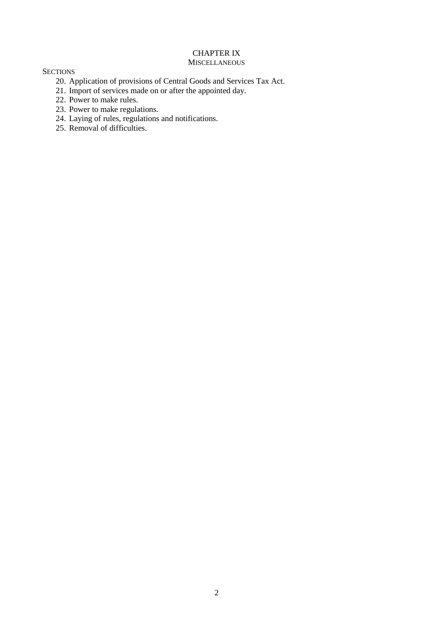# CHAPTER IX

# **MISCELLANEOUS**

**SECTIONS** 

- 20. Application of provisions of Central Goods and Services Tax Act.
- 21. Import of services made on or after the appointed day.
- 22. Power to make rules.
- 23. Power to make regulations.
- 24. Laying of rules, regulations and notifications.
- 25. Removal of difficulties.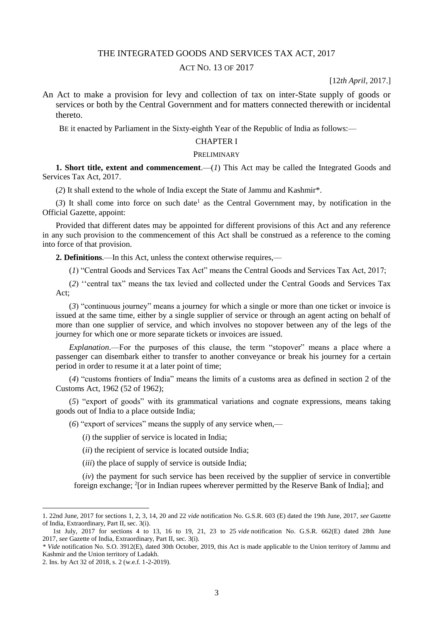# THE INTEGRATED GOODS AND SERVICES TAX ACT, 2017

### ACT NO. 13 OF 2017

[12*th April*, 2017.]

An Act to make a provision for levy and collection of tax on inter-State supply of goods or services or both by the Central Government and for matters connected therewith or incidental thereto.

BE it enacted by Parliament in the Sixty-eighth Year of the Republic of India as follows:—

# CHAPTER I

### **PRELIMINARY**

**1. Short title, extent and commencement**.—(*1*) This Act may be called the Integrated Goods and Services Tax Act, 2017.

(*2*) It shall extend to the whole of India except the State of Jammu and Kashmir\*.

 $(3)$  It shall come into force on such date<sup>1</sup> as the Central Government may, by notification in the Official Gazette, appoint:

Provided that different dates may be appointed for different provisions of this Act and any reference in any such provision to the commencement of this Act shall be construed as a reference to the coming into force of that provision.

**2. Definitions**.—In this Act, unless the context otherwise requires,––

(*1*) "Central Goods and Services Tax Act" means the Central Goods and Services Tax Act, 2017;

(*2*) ''central tax" means the tax levied and collected under the Central Goods and Services Tax Act;

(*3*) "continuous journey" means a journey for which a single or more than one ticket or invoice is issued at the same time, either by a single supplier of service or through an agent acting on behalf of more than one supplier of service, and which involves no stopover between any of the legs of the journey for which one or more separate tickets or invoices are issued.

*Explanation*.––For the purposes of this clause, the term "stopover" means a place where a passenger can disembark either to transfer to another conveyance or break his journey for a certain period in order to resume it at a later point of time;

(*4*) "customs frontiers of India" means the limits of a customs area as defined in section 2 of the Customs Act, 1962 (52 of 1962);

(*5*) "export of goods" with its grammatical variations and cognate expressions, means taking goods out of India to a place outside India;

(*6*) "export of services" means the supply of any service when,––

(*i*) the supplier of service is located in India;

(*ii*) the recipient of service is located outside India;

(*iii*) the place of supply of service is outside India;

(*iv*) the payment for such service has been received by the supplier of service in convertible foreign exchange; <sup>2</sup>[or in Indian rupees wherever permitted by the Reserve Bank of India]; and

<sup>1. 22</sup>nd June, 2017 for sections 1, 2, 3, 14, 20 and 22 *vide* notification No. G.S.R. 603 (E) dated the 19th June, 2017, *see* Gazette of India, Extraordinary, Part II, sec. 3(i).

<sup>1</sup>st July, 2017 for sections 4 to 13, 16 to 19, 21, 23 to 25 *vide* notification No. G.S.R. 662(E) dated 28th June 2017, *see* Gazette of India, Extraordinary, Part II, sec. 3(i).

*<sup>\*</sup> Vide* notification No. S.O. 3912(E), dated 30th October, 2019, this Act is made applicable to the Union territory of Jammu and Kashmir and the Union territory of Ladakh.

<sup>2.</sup> Ins. by Act 32 of 2018, s. 2 (w.e.f. 1-2-2019).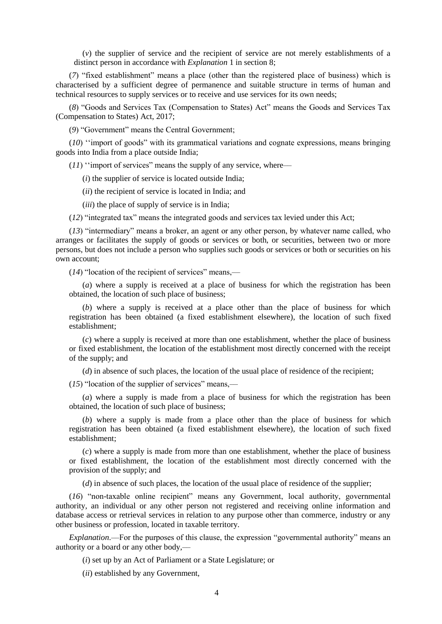(*v*) the supplier of service and the recipient of service are not merely establishments of a distinct person in accordance with *Explanation* 1 in section 8;

(*7*) "fixed establishment" means a place (other than the registered place of business) which is characterised by a sufficient degree of permanence and suitable structure in terms of human and technical resources to supply services or to receive and use services for its own needs;

(*8*) "Goods and Services Tax (Compensation to States) Act" means the Goods and Services Tax (Compensation to States) Act, 2017;

(*9*) "Government" means the Central Government;

(*10*) ''import of goods" with its grammatical variations and cognate expressions, means bringing goods into India from a place outside India;

 $(11)$  "import of services" means the supply of any service, where—

(*i*) the supplier of service is located outside India;

(*ii*) the recipient of service is located in India; and

(*iii*) the place of supply of service is in India;

(*12*) "integrated tax" means the integrated goods and services tax levied under this Act;

(*13*) "intermediary" means a broker, an agent or any other person, by whatever name called, who arranges or facilitates the supply of goods or services or both, or securities, between two or more persons, but does not include a person who supplies such goods or services or both or securities on his own account;

(*14*) "location of the recipient of services" means,––

(*a*) where a supply is received at a place of business for which the registration has been obtained, the location of such place of business;

(*b*) where a supply is received at a place other than the place of business for which registration has been obtained (a fixed establishment elsewhere), the location of such fixed establishment;

(*c*) where a supply is received at more than one establishment, whether the place of business or fixed establishment, the location of the establishment most directly concerned with the receipt of the supply; and

(*d*) in absence of such places, the location of the usual place of residence of the recipient;

(*15*) "location of the supplier of services" means,––

(*a*) where a supply is made from a place of business for which the registration has been obtained, the location of such place of business;

(*b*) where a supply is made from a place other than the place of business for which registration has been obtained (a fixed establishment elsewhere), the location of such fixed establishment;

(*c*) where a supply is made from more than one establishment, whether the place of business or fixed establishment, the location of the establishment most directly concerned with the provision of the supply; and

(*d*) in absence of such places, the location of the usual place of residence of the supplier;

(*16*) "non-taxable online recipient" means any Government, local authority, governmental authority, an individual or any other person not registered and receiving online information and database access or retrieval services in relation to any purpose other than commerce, industry or any other business or profession, located in taxable territory.

*Explanation*.––For the purposes of this clause, the expression "governmental authority" means an authority or a board or any other body,––

(*i*) set up by an Act of Parliament or a State Legislature; or

(*ii*) established by any Government,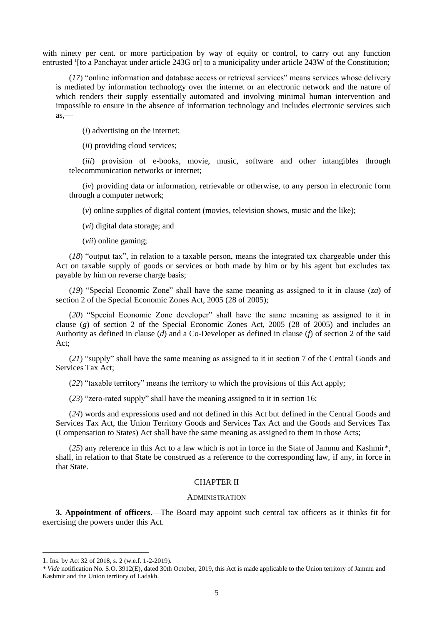with ninety per cent. or more participation by way of equity or control, to carry out any function entrusted <sup>1</sup> [to a Panchayat under article 243G or] to a municipality under article 243W of the Constitution;

(*17*) "online information and database access or retrieval services" means services whose delivery is mediated by information technology over the internet or an electronic network and the nature of which renders their supply essentially automated and involving minimal human intervention and impossible to ensure in the absence of information technology and includes electronic services such as,––

(*i*) advertising on the internet;

(*ii*) providing cloud services;

(*iii*) provision of e-books, movie, music, software and other intangibles through telecommunication networks or internet;

(*iv*) providing data or information, retrievable or otherwise, to any person in electronic form through a computer network;

(*v*) online supplies of digital content (movies, television shows, music and the like);

(*vi*) digital data storage; and

(*vii*) online gaming;

(*18*) "output tax", in relation to a taxable person, means the integrated tax chargeable under this Act on taxable supply of goods or services or both made by him or by his agent but excludes tax payable by him on reverse charge basis;

(*19*) "Special Economic Zone" shall have the same meaning as assigned to it in clause (*za*) of section 2 of the Special Economic Zones Act, 2005 (28 of 2005);

(*20*) "Special Economic Zone developer" shall have the same meaning as assigned to it in clause (*g*) of section 2 of the Special Economic Zones Act, 2005 (28 of 2005) and includes an Authority as defined in clause (*d*) and a Co-Developer as defined in clause (*f*) of section 2 of the said Act;

(*21*) "supply" shall have the same meaning as assigned to it in section 7 of the Central Goods and Services Tax Act;

(*22*) "taxable territory" means the territory to which the provisions of this Act apply;

(*23*) "zero-rated supply" shall have the meaning assigned to it in section 16;

(*24*) words and expressions used and not defined in this Act but defined in the Central Goods and Services Tax Act, the Union Territory Goods and Services Tax Act and the Goods and Services Tax (Compensation to States) Act shall have the same meaning as assigned to them in those Acts;

(*25*) any reference in this Act to a law which is not in force in the State of Jammu and Kashmir\*, shall, in relation to that State be construed as a reference to the corresponding law, if any, in force in that State.

### CHAPTER II

#### ADMINISTRATION

**3. Appointment of officers**.––The Board may appoint such central tax officers as it thinks fit for exercising the powers under this Act.

<sup>1.</sup> Ins. by Act 32 of 2018, s. 2 (w.e.f. 1-2-2019).

*<sup>\*</sup> Vide* notification No. S.O. 3912(E), dated 30th October, 2019, this Act is made applicable to the Union territory of Jammu and Kashmir and the Union territory of Ladakh.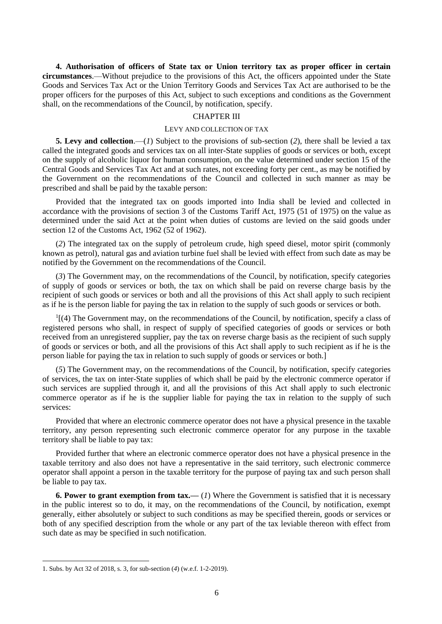**4. Authorisation of officers of State tax or Union territory tax as proper officer in certain circumstances**.––Without prejudice to the provisions of this Act, the officers appointed under the State Goods and Services Tax Act or the Union Territory Goods and Services Tax Act are authorised to be the proper officers for the purposes of this Act, subject to such exceptions and conditions as the Government shall, on the recommendations of the Council, by notification, specify.

#### CHAPTER III

#### LEVY AND COLLECTION OF TAX

**5. Levy and collection**.––(*1*) Subject to the provisions of sub-section (*2*), there shall be levied a tax called the integrated goods and services tax on all inter-State supplies of goods or services or both, except on the supply of alcoholic liquor for human consumption, on the value determined under section 15 of the Central Goods and Services Tax Act and at such rates, not exceeding forty per cent., as may be notified by the Government on the recommendations of the Council and collected in such manner as may be prescribed and shall be paid by the taxable person:

Provided that the integrated tax on goods imported into India shall be levied and collected in accordance with the provisions of section 3 of the Customs Tariff Act, 1975 (51 of 1975) on the value as determined under the said Act at the point when duties of customs are levied on the said goods under section 12 of the Customs Act, 1962 (52 of 1962).

(*2*) The integrated tax on the supply of petroleum crude, high speed diesel, motor spirit (commonly known as petrol), natural gas and aviation turbine fuel shall be levied with effect from such date as may be notified by the Government on the recommendations of the Council.

(*3*) The Government may, on the recommendations of the Council, by notification, specify categories of supply of goods or services or both, the tax on which shall be paid on reverse charge basis by the recipient of such goods or services or both and all the provisions of this Act shall apply to such recipient as if he is the person liable for paying the tax in relation to the supply of such goods or services or both.

<sup>1</sup>[(4) The Government may, on the recommendations of the Council, by notification, specify a class of registered persons who shall, in respect of supply of specified categories of goods or services or both received from an unregistered supplier, pay the tax on reverse charge basis as the recipient of such supply of goods or services or both, and all the provisions of this Act shall apply to such recipient as if he is the person liable for paying the tax in relation to such supply of goods or services or both.]

(*5*) The Government may, on the recommendations of the Council, by notification, specify categories of services, the tax on inter-State supplies of which shall be paid by the electronic commerce operator if such services are supplied through it, and all the provisions of this Act shall apply to such electronic commerce operator as if he is the supplier liable for paying the tax in relation to the supply of such services:

Provided that where an electronic commerce operator does not have a physical presence in the taxable territory, any person representing such electronic commerce operator for any purpose in the taxable territory shall be liable to pay tax:

Provided further that where an electronic commerce operator does not have a physical presence in the taxable territory and also does not have a representative in the said territory, such electronic commerce operator shall appoint a person in the taxable territory for the purpose of paying tax and such person shall be liable to pay tax.

**6. Power to grant exemption from tax.––** (*1*) Where the Government is satisfied that it is necessary in the public interest so to do, it may, on the recommendations of the Council, by notification, exempt generally, either absolutely or subject to such conditions as may be specified therein, goods or services or both of any specified description from the whole or any part of the tax leviable thereon with effect from such date as may be specified in such notification.

<sup>1.</sup> Subs. by Act 32 of 2018, s. 3, for sub-section (*4*) (w.e.f. 1-2-2019).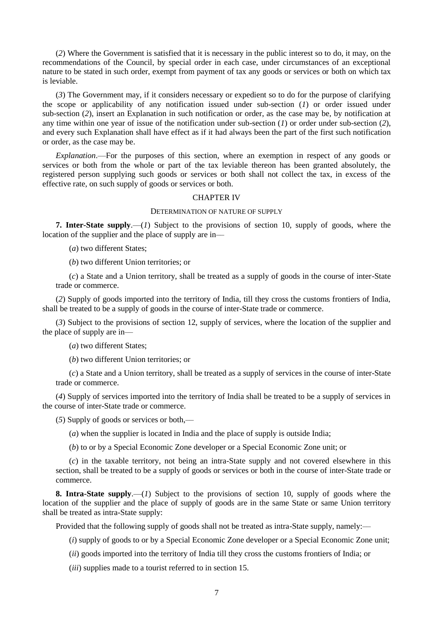(*2*) Where the Government is satisfied that it is necessary in the public interest so to do, it may, on the recommendations of the Council, by special order in each case, under circumstances of an exceptional nature to be stated in such order, exempt from payment of tax any goods or services or both on which tax is leviable.

(*3*) The Government may, if it considers necessary or expedient so to do for the purpose of clarifying the scope or applicability of any notification issued under sub-section (*1*) or order issued under sub-section (*2*), insert an Explanation in such notification or order, as the case may be, by notification at any time within one year of issue of the notification under sub-section (*1*) or order under sub-section (*2*), and every such Explanation shall have effect as if it had always been the part of the first such notification or order, as the case may be.

*Explanation*.––For the purposes of this section, where an exemption in respect of any goods or services or both from the whole or part of the tax leviable thereon has been granted absolutely, the registered person supplying such goods or services or both shall not collect the tax, in excess of the effective rate, on such supply of goods or services or both.

#### CHAPTER IV

### DETERMINATION OF NATURE OF SUPPLY

**7. Inter-State supply**.—(*1*) Subject to the provisions of section 10, supply of goods, where the location of the supplier and the place of supply are in-

(*a*) two different States;

(*b*) two different Union territories; or

(*c*) a State and a Union territory, shall be treated as a supply of goods in the course of inter-State trade or commerce.

(*2*) Supply of goods imported into the territory of India, till they cross the customs frontiers of India, shall be treated to be a supply of goods in the course of inter-State trade or commerce.

(*3*) Subject to the provisions of section 12, supply of services, where the location of the supplier and the place of supply are in––

(*a*) two different States;

(*b*) two different Union territories; or

(*c*) a State and a Union territory, shall be treated as a supply of services in the course of inter-State trade or commerce.

(*4*) Supply of services imported into the territory of India shall be treated to be a supply of services in the course of inter-State trade or commerce.

(*5*) Supply of goods or services or both,––

(*a*) when the supplier is located in India and the place of supply is outside India;

(*b*) to or by a Special Economic Zone developer or a Special Economic Zone unit; or

(*c*) in the taxable territory, not being an intra-State supply and not covered elsewhere in this section, shall be treated to be a supply of goods or services or both in the course of inter-State trade or commerce.

8. **Intra-State supply**.—(*1*) Subject to the provisions of section 10, supply of goods where the location of the supplier and the place of supply of goods are in the same State or same Union territory shall be treated as intra-State supply:

Provided that the following supply of goods shall not be treated as intra-State supply, namely:––

(*i*) supply of goods to or by a Special Economic Zone developer or a Special Economic Zone unit;

(*ii*) goods imported into the territory of India till they cross the customs frontiers of India; or

(*iii*) supplies made to a tourist referred to in section 15.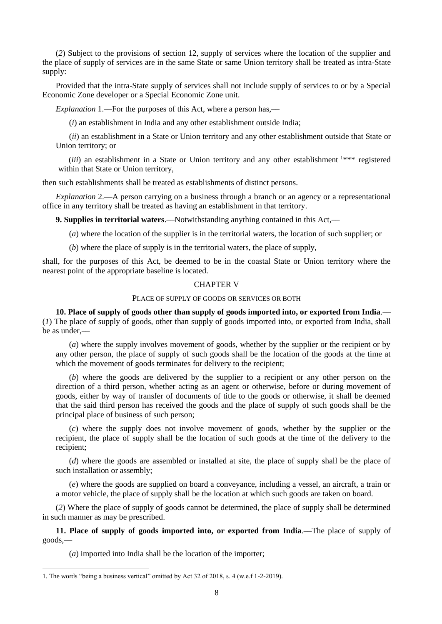(*2*) Subject to the provisions of section 12, supply of services where the location of the supplier and the place of supply of services are in the same State or same Union territory shall be treated as intra-State supply:

Provided that the intra-State supply of services shall not include supply of services to or by a Special Economic Zone developer or a Special Economic Zone unit.

*Explanation* 1.—For the purposes of this Act, where a person has,—

(*i*) an establishment in India and any other establishment outside India;

(*ii*) an establishment in a State or Union territory and any other establishment outside that State or Union territory; or

(*iii*) an establishment in a State or Union territory and any other establishment <sup>1\*\*\*</sup> registered within that State or Union territory,

then such establishments shall be treated as establishments of distinct persons.

*Explanation* 2.––A person carrying on a business through a branch or an agency or a representational office in any territory shall be treated as having an establishment in that territory.

**9. Supplies in territorial waters**.––Notwithstanding anything contained in this Act,––

(*a*) where the location of the supplier is in the territorial waters, the location of such supplier; or

(*b*) where the place of supply is in the territorial waters, the place of supply,

shall, for the purposes of this Act, be deemed to be in the coastal State or Union territory where the nearest point of the appropriate baseline is located.

### CHAPTER V

### PLACE OF SUPPLY OF GOODS OR SERVICES OR BOTH

**10. Place of supply of goods other than supply of goods imported into, or exported from India**.–– (*1*) The place of supply of goods, other than supply of goods imported into, or exported from India, shall be as under,––

(*a*) where the supply involves movement of goods, whether by the supplier or the recipient or by any other person, the place of supply of such goods shall be the location of the goods at the time at which the movement of goods terminates for delivery to the recipient;

(*b*) where the goods are delivered by the supplier to a recipient or any other person on the direction of a third person, whether acting as an agent or otherwise, before or during movement of goods, either by way of transfer of documents of title to the goods or otherwise, it shall be deemed that the said third person has received the goods and the place of supply of such goods shall be the principal place of business of such person;

(*c*) where the supply does not involve movement of goods, whether by the supplier or the recipient, the place of supply shall be the location of such goods at the time of the delivery to the recipient;

(*d*) where the goods are assembled or installed at site, the place of supply shall be the place of such installation or assembly;

(*e*) where the goods are supplied on board a conveyance, including a vessel, an aircraft, a train or a motor vehicle, the place of supply shall be the location at which such goods are taken on board.

(*2*) Where the place of supply of goods cannot be determined, the place of supply shall be determined in such manner as may be prescribed.

**11. Place of supply of goods imported into, or exported from India**.––The place of supply of goods,––

(*a*) imported into India shall be the location of the importer;

<sup>1.</sup> The words "being a business vertical" omitted by Act 32 of 2018, s. 4 (w.e.f 1-2-2019).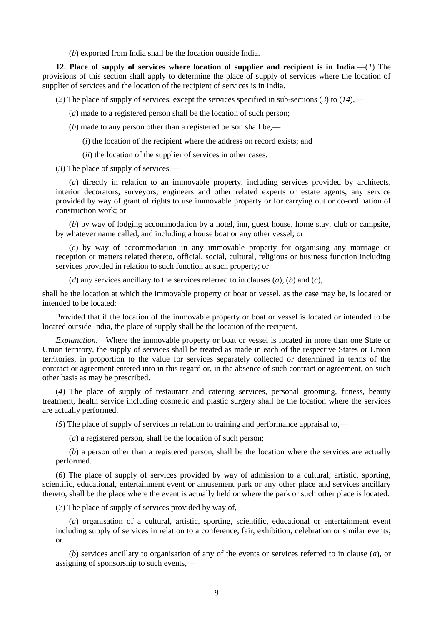(*b*) exported from India shall be the location outside India.

**12.** Place of supply of services where location of supplier and recipient is in India.— $(I)$  The provisions of this section shall apply to determine the place of supply of services where the location of supplier of services and the location of the recipient of services is in India.

(*2*) The place of supply of services, except the services specified in sub-sections (*3*) to (*14*),––

(*a*) made to a registered person shall be the location of such person;

(*b*) made to any person other than a registered person shall be,––

(*i*) the location of the recipient where the address on record exists; and

(*ii*) the location of the supplier of services in other cases.

(*3*) The place of supply of services,––

(*a*) directly in relation to an immovable property, including services provided by architects, interior decorators, surveyors, engineers and other related experts or estate agents, any service provided by way of grant of rights to use immovable property or for carrying out or co-ordination of construction work; or

(*b*) by way of lodging accommodation by a hotel, inn, guest house, home stay, club or campsite, by whatever name called, and including a house boat or any other vessel; or

(*c*) by way of accommodation in any immovable property for organising any marriage or reception or matters related thereto, official, social, cultural, religious or business function including services provided in relation to such function at such property; or

(*d*) any services ancillary to the services referred to in clauses (*a*), (*b*) and (*c*),

shall be the location at which the immovable property or boat or vessel, as the case may be, is located or intended to be located:

Provided that if the location of the immovable property or boat or vessel is located or intended to be located outside India, the place of supply shall be the location of the recipient.

*Explanation*.––Where the immovable property or boat or vessel is located in more than one State or Union territory, the supply of services shall be treated as made in each of the respective States or Union territories, in proportion to the value for services separately collected or determined in terms of the contract or agreement entered into in this regard or, in the absence of such contract or agreement, on such other basis as may be prescribed.

(*4*) The place of supply of restaurant and catering services, personal grooming, fitness, beauty treatment, health service including cosmetic and plastic surgery shall be the location where the services are actually performed.

(*5*) The place of supply of services in relation to training and performance appraisal to,––

(*a*) a registered person, shall be the location of such person;

(*b*) a person other than a registered person, shall be the location where the services are actually performed.

(*6*) The place of supply of services provided by way of admission to a cultural, artistic, sporting, scientific, educational, entertainment event or amusement park or any other place and services ancillary thereto, shall be the place where the event is actually held or where the park or such other place is located.

(*7*) The place of supply of services provided by way of,—

(*a*) organisation of a cultural, artistic, sporting, scientific, educational or entertainment event including supply of services in relation to a conference, fair, exhibition, celebration or similar events; or

(*b*) services ancillary to organisation of any of the events or services referred to in clause (*a*), or assigning of sponsorship to such events,––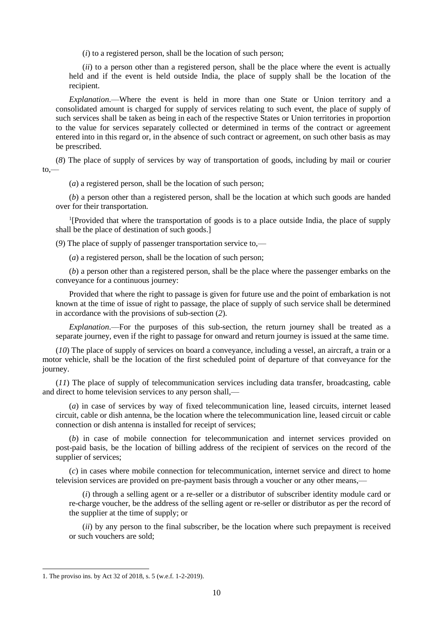(*i*) to a registered person, shall be the location of such person;

(*ii*) to a person other than a registered person, shall be the place where the event is actually held and if the event is held outside India, the place of supply shall be the location of the recipient.

*Explanation*.––Where the event is held in more than one State or Union territory and a consolidated amount is charged for supply of services relating to such event, the place of supply of such services shall be taken as being in each of the respective States or Union territories in proportion to the value for services separately collected or determined in terms of the contract or agreement entered into in this regard or, in the absence of such contract or agreement, on such other basis as may be prescribed.

(*8*) The place of supply of services by way of transportation of goods, including by mail or courier  $to,$ 

(*a*) a registered person, shall be the location of such person;

(*b*) a person other than a registered person, shall be the location at which such goods are handed over for their transportation.

<sup>1</sup>[Provided that where the transportation of goods is to a place outside India, the place of supply shall be the place of destination of such goods.]

(*9*) The place of supply of passenger transportation service to,—

(*a*) a registered person, shall be the location of such person;

(*b*) a person other than a registered person, shall be the place where the passenger embarks on the conveyance for a continuous journey:

Provided that where the right to passage is given for future use and the point of embarkation is not known at the time of issue of right to passage, the place of supply of such service shall be determined in accordance with the provisions of sub-section (*2*).

*Explanation*.––For the purposes of this sub-section, the return journey shall be treated as a separate journey, even if the right to passage for onward and return journey is issued at the same time.

(*10*) The place of supply of services on board a conveyance, including a vessel, an aircraft, a train or a motor vehicle, shall be the location of the first scheduled point of departure of that conveyance for the journey.

(*11*) The place of supply of telecommunication services including data transfer, broadcasting, cable and direct to home television services to any person shall,—

(*a*) in case of services by way of fixed telecommunication line, leased circuits, internet leased circuit, cable or dish antenna, be the location where the telecommunication line, leased circuit or cable connection or dish antenna is installed for receipt of services;

(*b*) in case of mobile connection for telecommunication and internet services provided on post-paid basis, be the location of billing address of the recipient of services on the record of the supplier of services;

(*c*) in cases where mobile connection for telecommunication, internet service and direct to home television services are provided on pre-payment basis through a voucher or any other means,––

(*i*) through a selling agent or a re-seller or a distributor of subscriber identity module card or re-charge voucher, be the address of the selling agent or re-seller or distributor as per the record of the supplier at the time of supply; or

(*ii*) by any person to the final subscriber, be the location where such prepayment is received or such vouchers are sold;

<sup>1.</sup> The proviso ins. by Act 32 of 2018, s. 5 (w.e.f. 1-2-2019).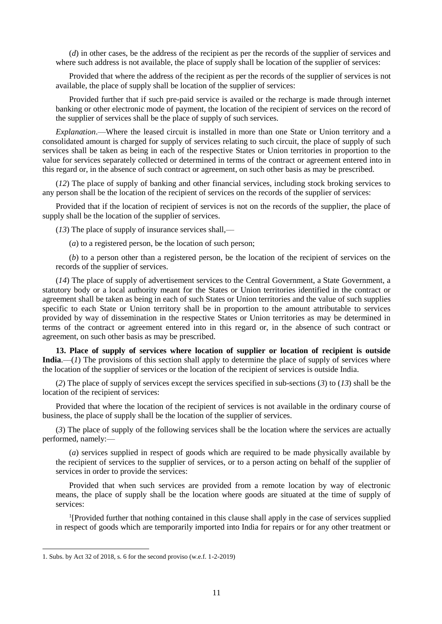(*d*) in other cases, be the address of the recipient as per the records of the supplier of services and where such address is not available, the place of supply shall be location of the supplier of services:

Provided that where the address of the recipient as per the records of the supplier of services is not available, the place of supply shall be location of the supplier of services:

Provided further that if such pre-paid service is availed or the recharge is made through internet banking or other electronic mode of payment, the location of the recipient of services on the record of the supplier of services shall be the place of supply of such services.

*Explanation*.––Where the leased circuit is installed in more than one State or Union territory and a consolidated amount is charged for supply of services relating to such circuit, the place of supply of such services shall be taken as being in each of the respective States or Union territories in proportion to the value for services separately collected or determined in terms of the contract or agreement entered into in this regard or, in the absence of such contract or agreement, on such other basis as may be prescribed.

(*12*) The place of supply of banking and other financial services, including stock broking services to any person shall be the location of the recipient of services on the records of the supplier of services:

Provided that if the location of recipient of services is not on the records of the supplier, the place of supply shall be the location of the supplier of services.

(*13*) The place of supply of insurance services shall,––

(*a*) to a registered person, be the location of such person;

(*b*) to a person other than a registered person, be the location of the recipient of services on the records of the supplier of services.

(*14*) The place of supply of advertisement services to the Central Government, a State Government, a statutory body or a local authority meant for the States or Union territories identified in the contract or agreement shall be taken as being in each of such States or Union territories and the value of such supplies specific to each State or Union territory shall be in proportion to the amount attributable to services provided by way of dissemination in the respective States or Union territories as may be determined in terms of the contract or agreement entered into in this regard or, in the absence of such contract or agreement, on such other basis as may be prescribed.

**13. Place of supply of services where location of supplier or location of recipient is outside India.**—(*1*) The provisions of this section shall apply to determine the place of supply of services where the location of the supplier of services or the location of the recipient of services is outside India.

(*2*) The place of supply of services except the services specified in sub-sections (*3*) to (*13*) shall be the location of the recipient of services:

Provided that where the location of the recipient of services is not available in the ordinary course of business, the place of supply shall be the location of the supplier of services.

(*3*) The place of supply of the following services shall be the location where the services are actually performed, namely:—

(*a*) services supplied in respect of goods which are required to be made physically available by the recipient of services to the supplier of services, or to a person acting on behalf of the supplier of services in order to provide the services:

Provided that when such services are provided from a remote location by way of electronic means, the place of supply shall be the location where goods are situated at the time of supply of services:

<sup>1</sup>[Provided further that nothing contained in this clause shall apply in the case of services supplied in respect of goods which are temporarily imported into India for repairs or for any other treatment or

<sup>1.</sup> Subs. by Act 32 of 2018, s. 6 for the second proviso (w.e.f. 1-2-2019)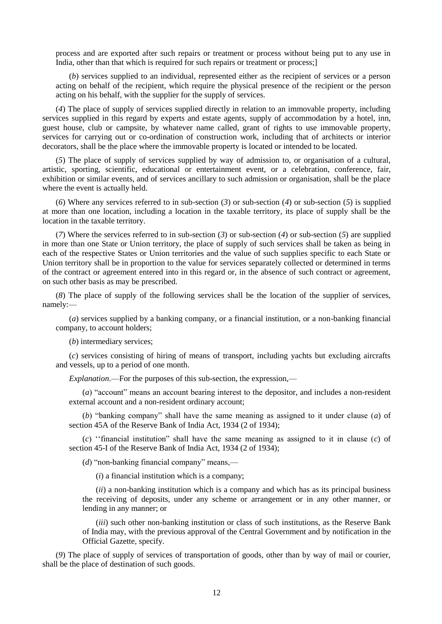process and are exported after such repairs or treatment or process without being put to any use in India, other than that which is required for such repairs or treatment or process;

(*b*) services supplied to an individual, represented either as the recipient of services or a person acting on behalf of the recipient, which require the physical presence of the recipient or the person acting on his behalf, with the supplier for the supply of services.

(*4*) The place of supply of services supplied directly in relation to an immovable property, including services supplied in this regard by experts and estate agents, supply of accommodation by a hotel, inn, guest house, club or campsite, by whatever name called, grant of rights to use immovable property, services for carrying out or co-ordination of construction work, including that of architects or interior decorators, shall be the place where the immovable property is located or intended to be located.

(*5*) The place of supply of services supplied by way of admission to, or organisation of a cultural, artistic, sporting, scientific, educational or entertainment event, or a celebration, conference, fair, exhibition or similar events, and of services ancillary to such admission or organisation, shall be the place where the event is actually held.

(*6*) Where any services referred to in sub-section (*3*) or sub-section (*4*) or sub-section (*5*) is supplied at more than one location, including a location in the taxable territory, its place of supply shall be the location in the taxable territory.

(*7*) Where the services referred to in sub-section (*3*) or sub-section (*4*) or sub-section (*5*) are supplied in more than one State or Union territory, the place of supply of such services shall be taken as being in each of the respective States or Union territories and the value of such supplies specific to each State or Union territory shall be in proportion to the value for services separately collected or determined in terms of the contract or agreement entered into in this regard or, in the absence of such contract or agreement, on such other basis as may be prescribed.

(*8*) The place of supply of the following services shall be the location of the supplier of services, namely:––

(*a*) services supplied by a banking company, or a financial institution, or a non-banking financial company, to account holders;

(*b*) intermediary services;

(*c*) services consisting of hiring of means of transport, including yachts but excluding aircrafts and vessels, up to a period of one month.

*Explanation*.—For the purposes of this sub-section, the expression,—

(*a*) "account" means an account bearing interest to the depositor, and includes a non-resident external account and a non-resident ordinary account;

(*b*) "banking company" shall have the same meaning as assigned to it under clause (*a*) of section 45A of the Reserve Bank of India Act, 1934 (2 of 1934);

(*c*) ''financial institution" shall have the same meaning as assigned to it in clause (*c*) of section 45-I of the Reserve Bank of India Act, 1934 (2 of 1934);

(*d*) "non-banking financial company" means,––

(*i*) a financial institution which is a company;

(*ii*) a non-banking institution which is a company and which has as its principal business the receiving of deposits, under any scheme or arrangement or in any other manner, or lending in any manner; or

(*iii*) such other non-banking institution or class of such institutions, as the Reserve Bank of India may, with the previous approval of the Central Government and by notification in the Official Gazette, specify.

(*9*) The place of supply of services of transportation of goods, other than by way of mail or courier, shall be the place of destination of such goods.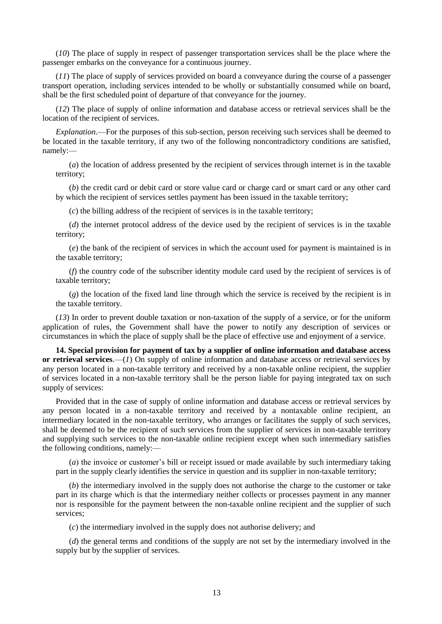(*10*) The place of supply in respect of passenger transportation services shall be the place where the passenger embarks on the conveyance for a continuous journey.

(*11*) The place of supply of services provided on board a conveyance during the course of a passenger transport operation, including services intended to be wholly or substantially consumed while on board, shall be the first scheduled point of departure of that conveyance for the journey.

(*12*) The place of supply of online information and database access or retrieval services shall be the location of the recipient of services.

*Explanation*.––For the purposes of this sub-section, person receiving such services shall be deemed to be located in the taxable territory, if any two of the following noncontradictory conditions are satisfied, namely:––

(*a*) the location of address presented by the recipient of services through internet is in the taxable territory;

(*b*) the credit card or debit card or store value card or charge card or smart card or any other card by which the recipient of services settles payment has been issued in the taxable territory;

(*c*) the billing address of the recipient of services is in the taxable territory;

(*d*) the internet protocol address of the device used by the recipient of services is in the taxable territory;

(*e*) the bank of the recipient of services in which the account used for payment is maintained is in the taxable territory;

(*f*) the country code of the subscriber identity module card used by the recipient of services is of taxable territory;

(*g*) the location of the fixed land line through which the service is received by the recipient is in the taxable territory.

(*13*) In order to prevent double taxation or non-taxation of the supply of a service, or for the uniform application of rules, the Government shall have the power to notify any description of services or circumstances in which the place of supply shall be the place of effective use and enjoyment of a service.

**14. Special provision for payment of tax by a supplier of online information and database access**  or retrieval services.—(*1*) On supply of online information and database access or retrieval services by any person located in a non-taxable territory and received by a non-taxable online recipient, the supplier of services located in a non-taxable territory shall be the person liable for paying integrated tax on such supply of services:

Provided that in the case of supply of online information and database access or retrieval services by any person located in a non-taxable territory and received by a nontaxable online recipient, an intermediary located in the non-taxable territory, who arranges or facilitates the supply of such services, shall be deemed to be the recipient of such services from the supplier of services in non-taxable territory and supplying such services to the non-taxable online recipient except when such intermediary satisfies the following conditions, namely:––

(*a*) the invoice or customer's bill or receipt issued or made available by such intermediary taking part in the supply clearly identifies the service in question and its supplier in non-taxable territory;

(*b*) the intermediary involved in the supply does not authorise the charge to the customer or take part in its charge which is that the intermediary neither collects or processes payment in any manner nor is responsible for the payment between the non-taxable online recipient and the supplier of such services;

(*c*) the intermediary involved in the supply does not authorise delivery; and

(*d*) the general terms and conditions of the supply are not set by the intermediary involved in the supply but by the supplier of services.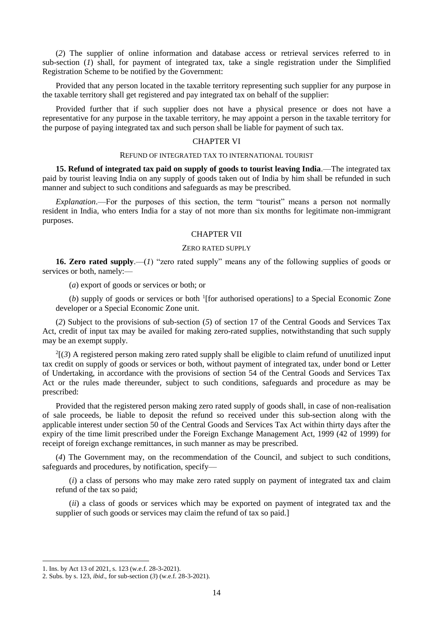(*2*) The supplier of online information and database access or retrieval services referred to in sub-section (*1*) shall, for payment of integrated tax, take a single registration under the Simplified Registration Scheme to be notified by the Government:

Provided that any person located in the taxable territory representing such supplier for any purpose in the taxable territory shall get registered and pay integrated tax on behalf of the supplier:

Provided further that if such supplier does not have a physical presence or does not have a representative for any purpose in the taxable territory, he may appoint a person in the taxable territory for the purpose of paying integrated tax and such person shall be liable for payment of such tax.

#### CHAPTER VI

#### REFUND OF INTEGRATED TAX TO INTERNATIONAL TOURIST

**15. Refund of integrated tax paid on supply of goods to tourist leaving India**.––The integrated tax paid by tourist leaving India on any supply of goods taken out of India by him shall be refunded in such manner and subject to such conditions and safeguards as may be prescribed.

*Explanation*.––For the purposes of this section, the term "tourist" means a person not normally resident in India, who enters India for a stay of not more than six months for legitimate non-immigrant purposes.

#### CHAPTER VII

### ZERO RATED SUPPLY

**16. Zero rated supply**.—(*1*) "zero rated supply" means any of the following supplies of goods or services or both, namely:-

(*a*) export of goods or services or both; or

(b) supply of goods or services or both  $\frac{1}{1}$  [for authorised operations] to a Special Economic Zone developer or a Special Economic Zone unit.

(*2*) Subject to the provisions of sub-section (*5*) of section 17 of the Central Goods and Services Tax Act, credit of input tax may be availed for making zero-rated supplies, notwithstanding that such supply may be an exempt supply.

 $^{2}$ [(3) A registered person making zero rated supply shall be eligible to claim refund of unutilized input tax credit on supply of goods or services or both, without payment of integrated tax, under bond or Letter of Undertaking, in accordance with the provisions of section 54 of the Central Goods and Services Tax Act or the rules made thereunder, subject to such conditions, safeguards and procedure as may be prescribed:

Provided that the registered person making zero rated supply of goods shall, in case of non-realisation of sale proceeds, be liable to deposit the refund so received under this sub-section along with the applicable interest under section 50 of the Central Goods and Services Tax Act within thirty days after the expiry of the time limit prescribed under the Foreign Exchange Management Act, 1999 (42 of 1999) for receipt of foreign exchange remittances, in such manner as may be prescribed.

(*4*) The Government may, on the recommendation of the Council, and subject to such conditions, safeguards and procedures, by notification, specify––

(*i*) a class of persons who may make zero rated supply on payment of integrated tax and claim refund of the tax so paid;

(*ii*) a class of goods or services which may be exported on payment of integrated tax and the supplier of such goods or services may claim the refund of tax so paid.]

<sup>1.</sup> Ins. by Act 13 of 2021, s. 123 (w.e.f. 28-3-2021).

<sup>2.</sup> Subs. by s. 123, *ibid*., for sub-section (*3*) (w.e.f. 28-3-2021).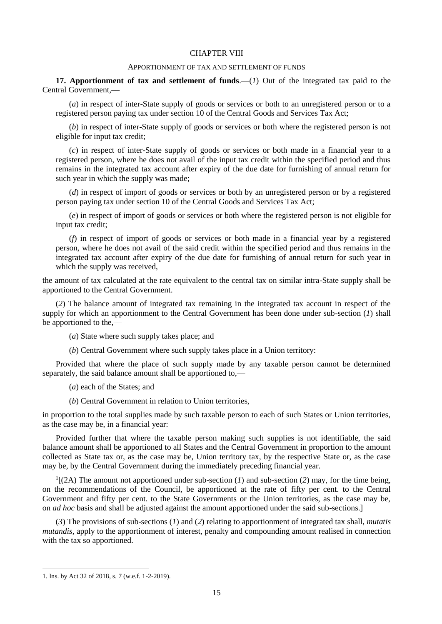### CHAPTER VIII

### APPORTIONMENT OF TAX AND SETTLEMENT OF FUNDS

**17.** Apportionment of tax and settlement of funds.— $(I)$  Out of the integrated tax paid to the Central Government,––

(*a*) in respect of inter-State supply of goods or services or both to an unregistered person or to a registered person paying tax under section 10 of the Central Goods and Services Tax Act;

(*b*) in respect of inter-State supply of goods or services or both where the registered person is not eligible for input tax credit;

(*c*) in respect of inter-State supply of goods or services or both made in a financial year to a registered person, where he does not avail of the input tax credit within the specified period and thus remains in the integrated tax account after expiry of the due date for furnishing of annual return for such year in which the supply was made;

(*d*) in respect of import of goods or services or both by an unregistered person or by a registered person paying tax under section 10 of the Central Goods and Services Tax Act;

(*e*) in respect of import of goods or services or both where the registered person is not eligible for input tax credit;

(*f*) in respect of import of goods or services or both made in a financial year by a registered person, where he does not avail of the said credit within the specified period and thus remains in the integrated tax account after expiry of the due date for furnishing of annual return for such year in which the supply was received,

the amount of tax calculated at the rate equivalent to the central tax on similar intra-State supply shall be apportioned to the Central Government.

(*2*) The balance amount of integrated tax remaining in the integrated tax account in respect of the supply for which an apportionment to the Central Government has been done under sub-section (*1*) shall be apportioned to the,––

(*a*) State where such supply takes place; and

(*b*) Central Government where such supply takes place in a Union territory:

Provided that where the place of such supply made by any taxable person cannot be determined separately, the said balance amount shall be apportioned to,––

(*a*) each of the States; and

(*b*) Central Government in relation to Union territories,

in proportion to the total supplies made by such taxable person to each of such States or Union territories, as the case may be, in a financial year:

Provided further that where the taxable person making such supplies is not identifiable, the said balance amount shall be apportioned to all States and the Central Government in proportion to the amount collected as State tax or, as the case may be, Union territory tax, by the respective State or, as the case may be, by the Central Government during the immediately preceding financial year.

1 [(2A) The amount not apportioned under sub-section (*1*) and sub-section (*2*) may, for the time being, on the recommendations of the Council, be apportioned at the rate of fifty per cent. to the Central Government and fifty per cent. to the State Governments or the Union territories, as the case may be, on *ad hoc* basis and shall be adjusted against the amount apportioned under the said sub-sections.]

(*3*) The provisions of sub-sections (*1*) and (*2*) relating to apportionment of integrated tax shall, *mutatis mutandis*, apply to the apportionment of interest, penalty and compounding amount realised in connection with the tax so apportioned.

<sup>1.</sup> Ins. by Act 32 of 2018, s. 7 (w.e.f. 1-2-2019).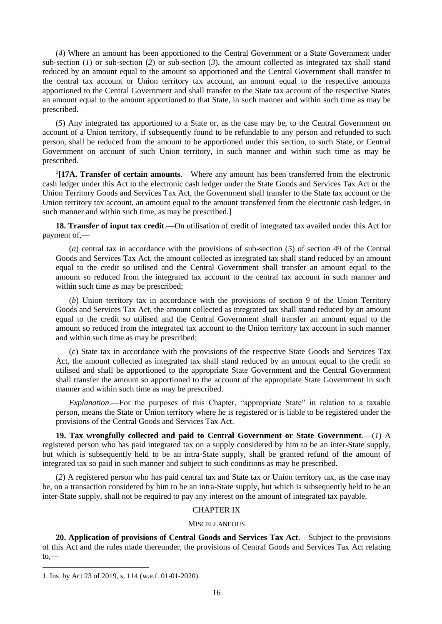(*4*) Where an amount has been apportioned to the Central Government or a State Government under sub-section (*1*) or sub-section (*2*) or sub-section (*3*), the amount collected as integrated tax shall stand reduced by an amount equal to the amount so apportioned and the Central Government shall transfer to the central tax account or Union territory tax account, an amount equal to the respective amounts apportioned to the Central Government and shall transfer to the State tax account of the respective States an amount equal to the amount apportioned to that State, in such manner and within such time as may be prescribed.

(*5*) Any integrated tax apportioned to a State or, as the case may be, to the Central Government on account of a Union territory, if subsequently found to be refundable to any person and refunded to such person, shall be reduced from the amount to be apportioned under this section, to such State, or Central Government on account of such Union territory, in such manner and within such time as may be prescribed.

**1 [17A. Transfer of certain amounts**.––Where any amount has been transferred from the electronic cash ledger under this Act to the electronic cash ledger under the State Goods and Services Tax Act or the Union Territory Goods and Services Tax Act, the Government shall transfer to the State tax account or the Union territory tax account, an amount equal to the amount transferred from the electronic cash ledger, in such manner and within such time, as may be prescribed.

**18. Transfer of input tax credit**.––On utilisation of credit of integrated tax availed under this Act for payment of,—

(*a*) central tax in accordance with the provisions of sub-section (*5*) of section 49 of the Central Goods and Services Tax Act, the amount collected as integrated tax shall stand reduced by an amount equal to the credit so utilised and the Central Government shall transfer an amount equal to the amount so reduced from the integrated tax account to the central tax account in such manner and within such time as may be prescribed;

(*b*) Union territory tax in accordance with the provisions of section 9 of the Union Territory Goods and Services Tax Act, the amount collected as integrated tax shall stand reduced by an amount equal to the credit so utilised and the Central Government shall transfer an amount equal to the amount so reduced from the integrated tax account to the Union territory tax account in such manner and within such time as may be prescribed;

(*c*) State tax in accordance with the provisions of the respective State Goods and Services Tax Act, the amount collected as integrated tax shall stand reduced by an amount equal to the credit so utilised and shall be apportioned to the appropriate State Government and the Central Government shall transfer the amount so apportioned to the account of the appropriate State Government in such manner and within such time as may be prescribed.

*Explanation*.––For the purposes of this Chapter, "appropriate State" in relation to a taxable person, means the State or Union territory where he is registered or is liable to be registered under the provisions of the Central Goods and Services Tax Act.

19. Tax wrongfully collected and paid to Central Government or State Government.––(1) A registered person who has paid integrated tax on a supply considered by him to be an inter-State supply, but which is subsequently held to be an intra-State supply, shall be granted refund of the amount of integrated tax so paid in such manner and subject to such conditions as may be prescribed.

(*2*) A registered person who has paid central tax and State tax or Union territory tax, as the case may be, on a transaction considered by him to be an intra-State supply, but which is subsequently held to be an inter-State supply, shall not be required to pay any interest on the amount of integrated tax payable.

### CHAPTER IX

#### **MISCELLANEOUS**

**20. Application of provisions of Central Goods and Services Tax Act**.––Subject to the provisions of this Act and the rules made thereunder, the provisions of Central Goods and Services Tax Act relating  $to,$ 

<sup>1.</sup> Ins. by Act 23 of 2019, s. 114 (w.e.f. 01-01-2020).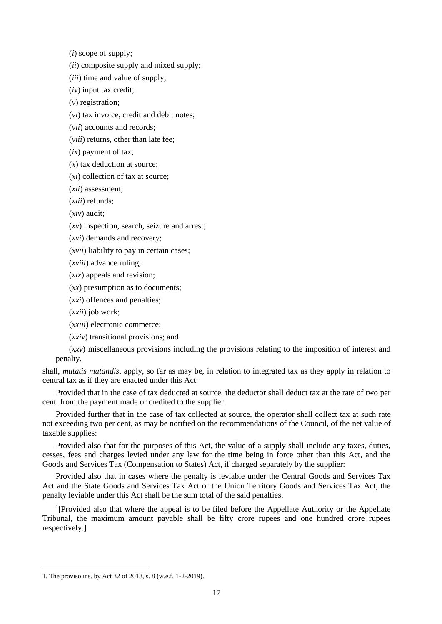(*i*) scope of supply;

(*ii*) composite supply and mixed supply;

(*iii*) time and value of supply;

(*iv*) input tax credit;

(*v*) registration;

(*vi*) tax invoice, credit and debit notes;

(*vii*) accounts and records;

(*viii*) returns, other than late fee;

(*ix*) payment of tax;

(*x*) tax deduction at source;

(*xi*) collection of tax at source;

(*xii*) assessment;

(*xiii*) refunds;

(*xiv*) audit;

(*xv*) inspection, search, seizure and arrest;

(*xvi*) demands and recovery;

(*xvii*) liability to pay in certain cases;

(*xviii*) advance ruling;

(*xix*) appeals and revision;

(*xx*) presumption as to documents;

(*xxi*) offences and penalties;

(*xxii*) job work;

(*xxiii*) electronic commerce;

(*xxiv*) transitional provisions; and

(*xxv*) miscellaneous provisions including the provisions relating to the imposition of interest and penalty,

shall, *mutatis mutandis*, apply, so far as may be, in relation to integrated tax as they apply in relation to central tax as if they are enacted under this Act:

Provided that in the case of tax deducted at source, the deductor shall deduct tax at the rate of two per cent. from the payment made or credited to the supplier:

Provided further that in the case of tax collected at source, the operator shall collect tax at such rate not exceeding two per cent, as may be notified on the recommendations of the Council, of the net value of taxable supplies:

Provided also that for the purposes of this Act, the value of a supply shall include any taxes, duties, cesses, fees and charges levied under any law for the time being in force other than this Act, and the Goods and Services Tax (Compensation to States) Act, if charged separately by the supplier:

Provided also that in cases where the penalty is leviable under the Central Goods and Services Tax Act and the State Goods and Services Tax Act or the Union Territory Goods and Services Tax Act, the penalty leviable under this Act shall be the sum total of the said penalties.

<sup>1</sup>[Provided also that where the appeal is to be filed before the Appellate Authority or the Appellate Tribunal, the maximum amount payable shall be fifty crore rupees and one hundred crore rupees respectively.]

<sup>1.</sup> The proviso ins. by Act 32 of 2018, s. 8 (w.e.f. 1-2-2019).